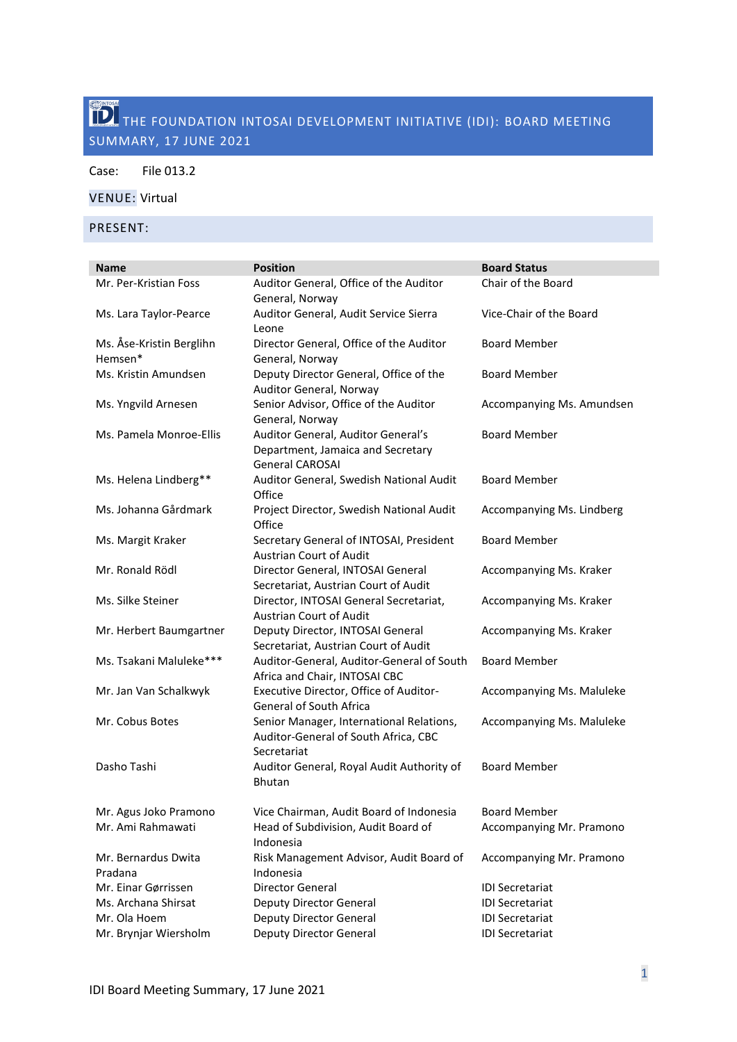# THE FOUNDATION INTOSAI DEVELOPMENT INITIATIVE (IDI): BOARD MEETING SUMMARY, 17 JUNE 2021

Case: File 013.2

## VENUE: Virtual

PRESENT:

| <b>Name</b>                         | <b>Position</b>                                                                                   | <b>Board Status</b>       |
|-------------------------------------|---------------------------------------------------------------------------------------------------|---------------------------|
| Mr. Per-Kristian Foss               | Auditor General, Office of the Auditor<br>General, Norway                                         | Chair of the Board        |
| Ms. Lara Taylor-Pearce              | Auditor General, Audit Service Sierra<br>Leone                                                    | Vice-Chair of the Board   |
| Ms. Åse-Kristin Berglihn<br>Hemsen* | Director General, Office of the Auditor<br>General, Norway                                        | <b>Board Member</b>       |
| Ms. Kristin Amundsen                | Deputy Director General, Office of the<br>Auditor General, Norway                                 | <b>Board Member</b>       |
| Ms. Yngvild Arnesen                 | Senior Advisor, Office of the Auditor<br>General, Norway                                          | Accompanying Ms. Amundsen |
| Ms. Pamela Monroe-Ellis             | Auditor General, Auditor General's<br>Department, Jamaica and Secretary<br><b>General CAROSAI</b> | <b>Board Member</b>       |
| Ms. Helena Lindberg**               | Auditor General, Swedish National Audit<br>Office                                                 | <b>Board Member</b>       |
| Ms. Johanna Gårdmark                | Project Director, Swedish National Audit<br>Office                                                | Accompanying Ms. Lindberg |
| Ms. Margit Kraker                   | Secretary General of INTOSAI, President<br><b>Austrian Court of Audit</b>                         | <b>Board Member</b>       |
| Mr. Ronald Rödl                     | Director General, INTOSAI General<br>Secretariat, Austrian Court of Audit                         | Accompanying Ms. Kraker   |
| Ms. Silke Steiner                   | Director, INTOSAI General Secretariat,<br>Austrian Court of Audit                                 | Accompanying Ms. Kraker   |
| Mr. Herbert Baumgartner             | Deputy Director, INTOSAI General<br>Secretariat, Austrian Court of Audit                          | Accompanying Ms. Kraker   |
| Ms. Tsakani Maluleke***             | Auditor-General, Auditor-General of South<br>Africa and Chair, INTOSAI CBC                        | <b>Board Member</b>       |
| Mr. Jan Van Schalkwyk               | Executive Director, Office of Auditor-<br><b>General of South Africa</b>                          | Accompanying Ms. Maluleke |
| Mr. Cobus Botes                     | Senior Manager, International Relations,<br>Auditor-General of South Africa, CBC<br>Secretariat   | Accompanying Ms. Maluleke |
| Dasho Tashi                         | Auditor General, Royal Audit Authority of<br><b>Bhutan</b>                                        | <b>Board Member</b>       |
| Mr. Agus Joko Pramono               | Vice Chairman, Audit Board of Indonesia                                                           | <b>Board Member</b>       |
| Mr. Ami Rahmawati                   | Head of Subdivision, Audit Board of<br>Indonesia                                                  | Accompanying Mr. Pramono  |
| Mr. Bernardus Dwita<br>Pradana      | Risk Management Advisor, Audit Board of<br>Indonesia                                              | Accompanying Mr. Pramono  |
| Mr. Einar Gørrissen                 | Director General                                                                                  | <b>IDI Secretariat</b>    |
| Ms. Archana Shirsat                 | <b>Deputy Director General</b>                                                                    | <b>IDI Secretariat</b>    |
| Mr. Ola Hoem                        | <b>Deputy Director General</b>                                                                    | <b>IDI Secretariat</b>    |
| Mr. Brynjar Wiersholm               | Deputy Director General                                                                           | <b>IDI Secretariat</b>    |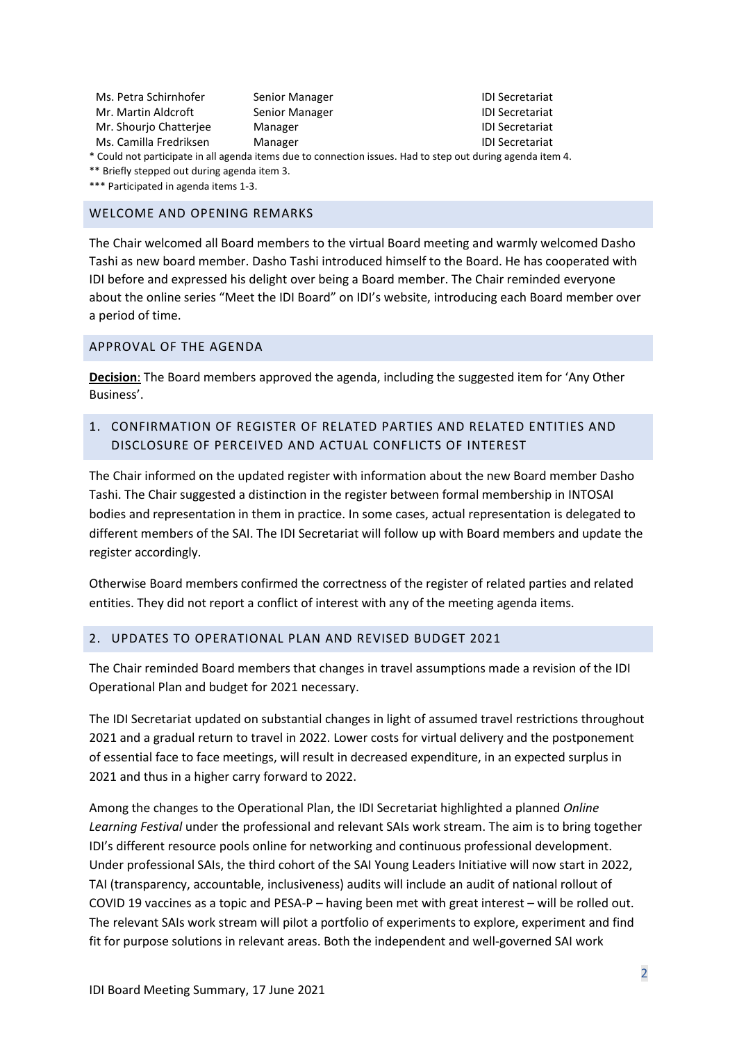| Ms. Petra Schirnhofer  | Senior Manager |
|------------------------|----------------|
| Mr. Martin Aldcroft    | Senior Manager |
| Mr. Shourio Chatteriee | Manager        |
| Ms. Camilla Fredriksen | Manager        |

IDI Secretariat IDI Secretariat IDI Secretariat IDI Secretariat

\* Could not participate in all agenda items due to connection issues. Had to step out during agenda item 4.

\*\* Briefly stepped out during agenda item 3.

\*\*\* Participated in agenda items 1-3.

#### WELCOME AND OPENING REMARKS

The Chair welcomed all Board members to the virtual Board meeting and warmly welcomed Dasho Tashi as new board member. Dasho Tashi introduced himself to the Board. He has cooperated with IDI before and expressed his delight over being a Board member. The Chair reminded everyone about the online series "Meet the IDI Board" on IDI's website, introducing each Board member over a period of time.

#### APPROVAL OF THE AGENDA

**Decision**: The Board members approved the agenda, including the suggested item for 'Any Other Business'.

# 1. CONFIRMATION OF REGISTER OF RELATED PARTIES AND RELATED ENTITIES AND DISCLOSURE OF PERCEIVED AND ACTUAL CONFLICTS OF INTEREST

The Chair informed on the updated register with information about the new Board member Dasho Tashi. The Chair suggested a distinction in the register between formal membership in INTOSAI bodies and representation in them in practice. In some cases, actual representation is delegated to different members of the SAI. The IDI Secretariat will follow up with Board members and update the register accordingly.

Otherwise Board members confirmed the correctness of the register of related parties and related entities. They did not report a conflict of interest with any of the meeting agenda items.

#### 2. UPDATES TO OPERATIONAL PLAN AND REVISED BUDGET 2021

The Chair reminded Board members that changes in travel assumptions made a revision of the IDI Operational Plan and budget for 2021 necessary.

The IDI Secretariat updated on substantial changes in light of assumed travel restrictions throughout 2021 and a gradual return to travel in 2022. Lower costs for virtual delivery and the postponement of essential face to face meetings, will result in decreased expenditure, in an expected surplus in 2021 and thus in a higher carry forward to 2022.

Among the changes to the Operational Plan, the IDI Secretariat highlighted a planned *Online Learning Festival* under the professional and relevant SAIs work stream. The aim is to bring together IDI's different resource pools online for networking and continuous professional development. Under professional SAIs, the third cohort of the SAI Young Leaders Initiative will now start in 2022, TAI (transparency, accountable, inclusiveness) audits will include an audit of national rollout of COVID 19 vaccines as a topic and PESA-P – having been met with great interest – will be rolled out. The relevant SAIs work stream will pilot a portfolio of experiments to explore, experiment and find fit for purpose solutions in relevant areas. Both the independent and well-governed SAI work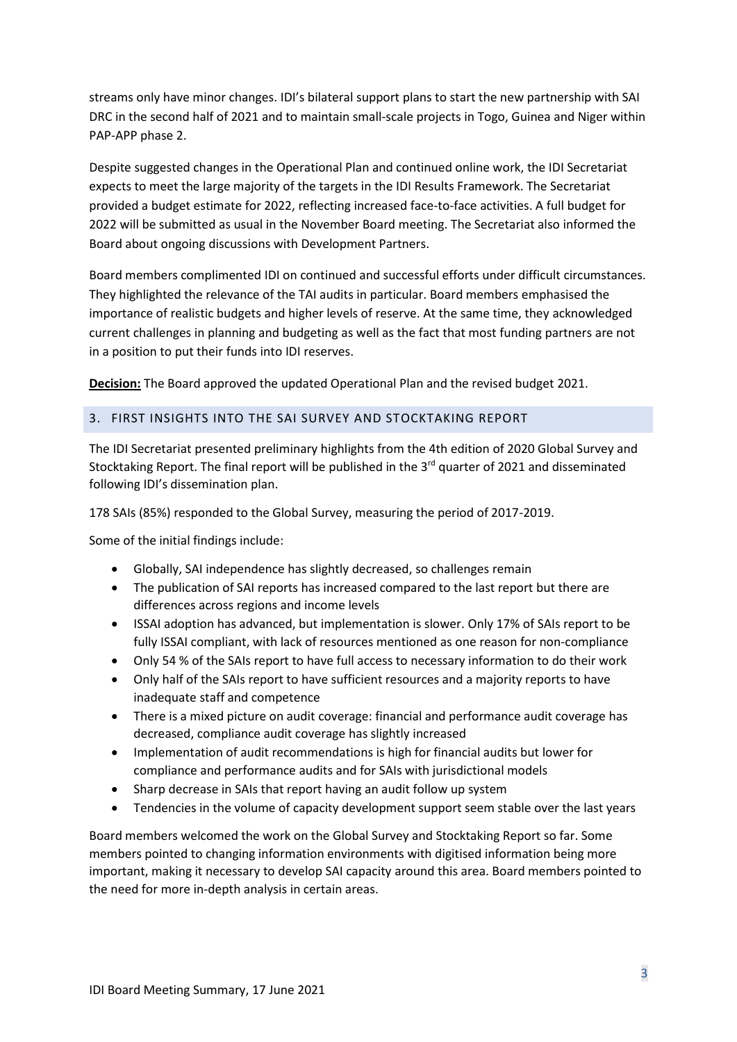streams only have minor changes. IDI's bilateral support plans to start the new partnership with SAI DRC in the second half of 2021 and to maintain small-scale projects in Togo, Guinea and Niger within PAP-APP phase 2.

Despite suggested changes in the Operational Plan and continued online work, the IDI Secretariat expects to meet the large majority of the targets in the IDI Results Framework. The Secretariat provided a budget estimate for 2022, reflecting increased face-to-face activities. A full budget for 2022 will be submitted as usual in the November Board meeting. The Secretariat also informed the Board about ongoing discussions with Development Partners.

Board members complimented IDI on continued and successful efforts under difficult circumstances. They highlighted the relevance of the TAI audits in particular. Board members emphasised the importance of realistic budgets and higher levels of reserve. At the same time, they acknowledged current challenges in planning and budgeting as well as the fact that most funding partners are not in a position to put their funds into IDI reserves.

**Decision:** The Board approved the updated Operational Plan and the revised budget 2021.

## 3. FIRST INSIGHTS INTO THE SAI SURVEY AND STOCKTAKING REPORT

The IDI Secretariat presented preliminary highlights from the 4th edition of 2020 Global Survey and Stocktaking Report. The final report will be published in the 3<sup>rd</sup> quarter of 2021 and disseminated following IDI's dissemination plan.

178 SAIs (85%) responded to the Global Survey, measuring the period of 2017-2019.

Some of the initial findings include:

- Globally, SAI independence has slightly decreased, so challenges remain
- The publication of SAI reports has increased compared to the last report but there are differences across regions and income levels
- ISSAI adoption has advanced, but implementation is slower. Only 17% of SAIs report to be fully ISSAI compliant, with lack of resources mentioned as one reason for non-compliance
- Only 54 % of the SAIs report to have full access to necessary information to do their work
- Only half of the SAIs report to have sufficient resources and a majority reports to have inadequate staff and competence
- There is a mixed picture on audit coverage: financial and performance audit coverage has decreased, compliance audit coverage has slightly increased
- Implementation of audit recommendations is high for financial audits but lower for compliance and performance audits and for SAIs with jurisdictional models
- Sharp decrease in SAIs that report having an audit follow up system
- Tendencies in the volume of capacity development support seem stable over the last years

Board members welcomed the work on the Global Survey and Stocktaking Report so far. Some members pointed to changing information environments with digitised information being more important, making it necessary to develop SAI capacity around this area. Board members pointed to the need for more in-depth analysis in certain areas.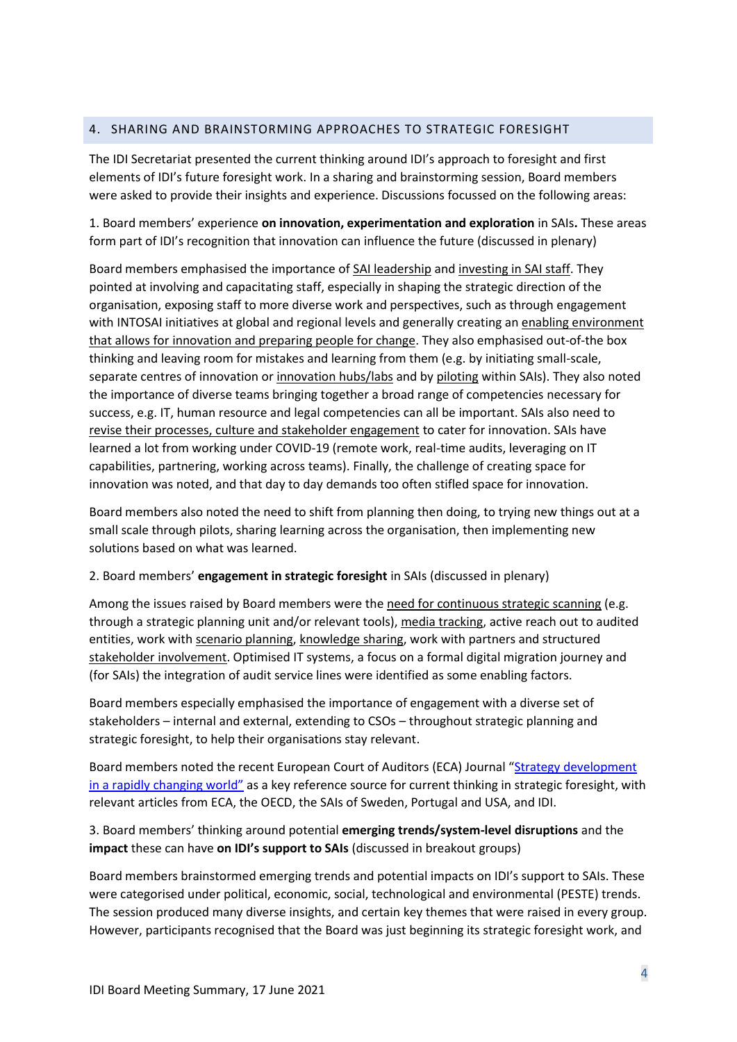## 4. SHARING AND BRAINSTORMING APPROACHES TO STRATEGIC FORESIGHT

The IDI Secretariat presented the current thinking around IDI's approach to foresight and first elements of IDI's future foresight work. In a sharing and brainstorming session, Board members were asked to provide their insights and experience. Discussions focussed on the following areas:

1. Board members' experience **on innovation, experimentation and exploration** in SAIs**.** These areas form part of IDI's recognition that innovation can influence the future (discussed in plenary)

Board members emphasised the importance of SAI leadership and investing in SAI staff. They pointed at involving and capacitating staff, especially in shaping the strategic direction of the organisation, exposing staff to more diverse work and perspectives, such as through engagement with INTOSAI initiatives at global and regional levels and generally creating an enabling environment that allows for innovation and preparing people for change. They also emphasised out-of-the box thinking and leaving room for mistakes and learning from them (e.g. by initiating small-scale, separate centres of innovation or innovation hubs/labs and by piloting within SAIs). They also noted the importance of diverse teams bringing together a broad range of competencies necessary for success, e.g. IT, human resource and legal competencies can all be important. SAIs also need to revise their processes, culture and stakeholder engagement to cater for innovation. SAIs have learned a lot from working under COVID-19 (remote work, real-time audits, leveraging on IT capabilities, partnering, working across teams). Finally, the challenge of creating space for innovation was noted, and that day to day demands too often stifled space for innovation.

Board members also noted the need to shift from planning then doing, to trying new things out at a small scale through pilots, sharing learning across the organisation, then implementing new solutions based on what was learned.

## 2. Board members' **engagement in strategic foresight** in SAIs (discussed in plenary)

Among the issues raised by Board members were the need for continuous strategic scanning (e.g. through a strategic planning unit and/or relevant tools), media tracking, active reach out to audited entities, work with scenario planning, knowledge sharing, work with partners and structured stakeholder involvement. Optimised IT systems, a focus on a formal digital migration journey and (for SAIs) the integration of audit service lines were identified as some enabling factors.

Board members especially emphasised the importance of engagement with a diverse set of stakeholders – internal and external, extending to CSOs – throughout strategic planning and strategic foresight, to help their organisations stay relevant.

Board members noted the recent European Court of Auditors (ECA) Journal "[Strategy development](https://www.eca.europa.eu/lists/ecadocuments/journal21_01/journal21_01.pdf)  [in a rapidly changing world](https://www.eca.europa.eu/lists/ecadocuments/journal21_01/journal21_01.pdf)" as a key reference source for current thinking in strategic foresight, with relevant articles from ECA, the OECD, the SAIs of Sweden, Portugal and USA, and IDI.

3. Board members' thinking around potential **emerging trends/system-level disruptions** and the **impact** these can have **on IDI's support to SAIs** (discussed in breakout groups)

Board members brainstormed emerging trends and potential impacts on IDI's support to SAIs. These were categorised under political, economic, social, technological and environmental (PESTE) trends. The session produced many diverse insights, and certain key themes that were raised in every group. However, participants recognised that the Board was just beginning its strategic foresight work, and